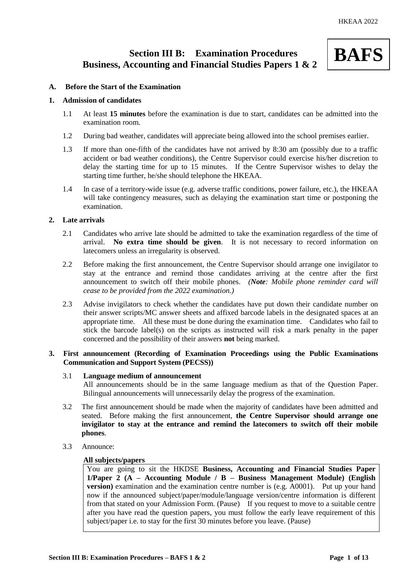# **Section III B: Examination Procedures Business, Accounting and Financial Studies Papers 1 & 2**



# **A. Before the Start of the Examination**

## **1. Admission of candidates**

- 1.1 At least **15 minutes** before the examination is due to start, candidates can be admitted into the examination room.
- 1.2 During bad weather, candidates will appreciate being allowed into the school premises earlier.
- 1.3 If more than one-fifth of the candidates have not arrived by 8:30 am (possibly due to a traffic accident or bad weather conditions), the Centre Supervisor could exercise his/her discretion to delay the starting time for up to 15 minutes. If the Centre Supervisor wishes to delay the starting time further, he/she should telephone the HKEAA.
- 1.4 In case of a territory-wide issue (e.g. adverse traffic conditions, power failure, etc.), the HKEAA will take contingency measures, such as delaying the examination start time or postponing the examination.

## **2. Late arrivals**

- 2.1 Candidates who arrive late should be admitted to take the examination regardless of the time of arrival. **No extra time should be given**. It is not necessary to record information on latecomers unless an irregularity is observed.
- 2.2 Before making the first announcement, the Centre Supervisor should arrange one invigilator to stay at the entrance and remind those candidates arriving at the centre after the first announcement to switch off their mobile phones. *(Note: Mobile phone reminder card will cease to be provided from the 2022 examination.)*
- 2.3 Advise invigilators to check whether the candidates have put down their candidate number on their answer scripts/MC answer sheets and affixed barcode labels in the designated spaces at an appropriate time. All these must be done during the examination time. Candidates who fail to stick the barcode label(s) on the scripts as instructed will risk a mark penalty in the paper concerned and the possibility of their answers **not** being marked.

# **3. First announcement (Recording of Examination Proceedings using the Public Examinations Communication and Support System (PECSS))**

#### 3.1 **Language medium of announcement**

All announcements should be in the same language medium as that of the Question Paper. Bilingual announcements will unnecessarily delay the progress of the examination.

- 3.2 The first announcement should be made when the majority of candidates have been admitted and seated. Before making the first announcement, **the Centre Supervisor should arrange one invigilator to stay at the entrance and remind the latecomers to switch off their mobile phones**.
- 3.3 Announce:

#### **All subjects/papers**

You are going to sit the HKDSE **Business, Accounting and Financial Studies Paper 1/Paper 2 (A – Accounting Module / B – Business Management Module) (English version**) examination and the examination centre number is (e.g. A0001). Put up your hand now if the announced subject/paper/module/language version/centre information is different from that stated on your Admission Form. (Pause) If you request to move to a suitable centre after you have read the question papers, you must follow the early leave requirement of this subject/paper i.e. to stay for the first 30 minutes before you leave. (Pause)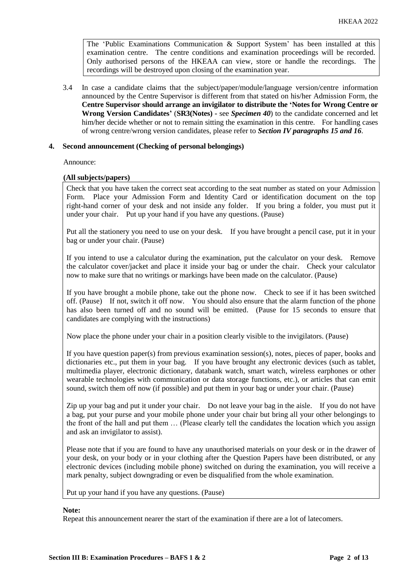The 'Public Examinations Communication  $\&$  Support System' has been installed at this examination centre. The centre conditions and examination proceedings will be recorded. Only authorised persons of the HKEAA can view, store or handle the recordings. The recordings will be destroyed upon closing of the examination year.

3.4 In case a candidate claims that the subject/paper/module/language version/centre information announced by the Centre Supervisor is different from that stated on his/her Admission Form, the **Centre Supervisor should arrange an invigilator to distribute the 'Notes for Wrong Centre or Wrong Version Candidates'** (**SR3(Notes) -** see *Specimen 40*) to the candidate concerned and let him/her decide whether or not to remain sitting the examination in this centre. For handling cases of wrong centre/wrong version candidates, please refer to *Section IV paragraphs 15 and 16*.

# **4. Second announcement (Checking of personal belongings)**

Announce:

## **(All subjects/papers)**

Check that you have taken the correct seat according to the seat number as stated on your Admission Form. Place your Admission Form and Identity Card or identification document on the top right-hand corner of your desk and not inside any folder. If you bring a folder, you must put it under your chair. Put up your hand if you have any questions. (Pause)

Put all the stationery you need to use on your desk. If you have brought a pencil case, put it in your bag or under your chair. (Pause)

If you intend to use a calculator during the examination, put the calculator on your desk. Remove the calculator cover/jacket and place it inside your bag or under the chair. Check your calculator now to make sure that no writings or markings have been made on the calculator. (Pause)

If you have brought a mobile phone, take out the phone now. Check to see if it has been switched off. (Pause) If not, switch it off now. You should also ensure that the alarm function of the phone has also been turned off and no sound will be emitted. (Pause for 15 seconds to ensure that candidates are complying with the instructions)

Now place the phone under your chair in a position clearly visible to the invigilators. (Pause)

If you have question paper(s) from previous examination session(s), notes, pieces of paper, books and dictionaries etc., put them in your bag. If you have brought any electronic devices (such as tablet, multimedia player, electronic dictionary, databank watch, smart watch, wireless earphones or other wearable technologies with communication or data storage functions, etc.), or articles that can emit sound, switch them off now (if possible) and put them in your bag or under your chair. (Pause)

Zip up your bag and put it under your chair. Do not leave your bag in the aisle. If you do not have a bag, put your purse and your mobile phone under your chair but bring all your other belongings to the front of the hall and put them … (Please clearly tell the candidates the location which you assign and ask an invigilator to assist).

Please note that if you are found to have any unauthorised materials on your desk or in the drawer of your desk, on your body or in your clothing after the Question Papers have been distributed, or any electronic devices (including mobile phone) switched on during the examination, you will receive a mark penalty, subject downgrading or even be disqualified from the whole examination.

Put up your hand if you have any questions. (Pause)

### **Note:**

Repeat this announcement nearer the start of the examination if there are a lot of latecomers.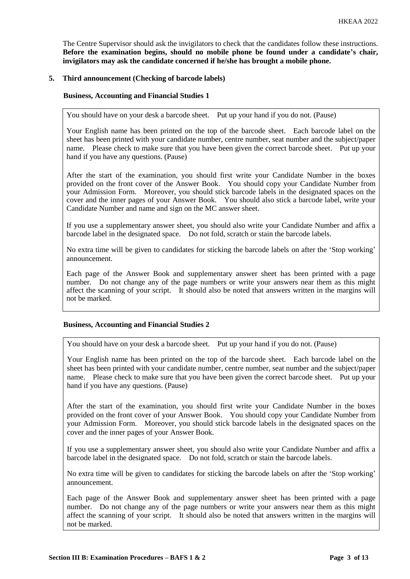The Centre Supervisor should ask the invigilators to check that the candidates follow these instructions. **Before the examination begins, should no mobile phone be found under a candidate's chair, invigilators may ask the candidate concerned if he/she has brought a mobile phone.**

# **5. Third announcement (Checking of barcode labels)**

## **Business, Accounting and Financial Studies 1**

You should have on your desk a barcode sheet. Put up your hand if you do not. (Pause)

Your English name has been printed on the top of the barcode sheet. Each barcode label on the sheet has been printed with your candidate number, centre number, seat number and the subject/paper name. Please check to make sure that you have been given the correct barcode sheet. Put up your hand if you have any questions. (Pause)

After the start of the examination, you should first write your Candidate Number in the boxes provided on the front cover of the Answer Book. You should copy your Candidate Number from your Admission Form. Moreover, you should stick barcode labels in the designated spaces on the cover and the inner pages of your Answer Book. You should also stick a barcode label, write your Candidate Number and name and sign on the MC answer sheet.

If you use a supplementary answer sheet, you should also write your Candidate Number and affix a barcode label in the designated space. Do not fold, scratch or stain the barcode labels.

No extra time will be given to candidates for sticking the barcode labels on after the 'Stop working' announcement.

Each page of the Answer Book and supplementary answer sheet has been printed with a page number. Do not change any of the page numbers or write your answers near them as this might affect the scanning of your script. It should also be noted that answers written in the margins will not be marked.

#### **Business, Accounting and Financial Studies 2**

You should have on your desk a barcode sheet. Put up your hand if you do not. (Pause)

Your English name has been printed on the top of the barcode sheet. Each barcode label on the sheet has been printed with your candidate number, centre number, seat number and the subject/paper name. Please check to make sure that you have been given the correct barcode sheet. Put up your hand if you have any questions. (Pause)

After the start of the examination, you should first write your Candidate Number in the boxes provided on the front cover of your Answer Book. You should copy your Candidate Number from your Admission Form. Moreover, you should stick barcode labels in the designated spaces on the cover and the inner pages of your Answer Book.

If you use a supplementary answer sheet, you should also write your Candidate Number and affix a barcode label in the designated space. Do not fold, scratch or stain the barcode labels.

No extra time will be given to candidates for sticking the barcode labels on after the 'Stop working' announcement.

Each page of the Answer Book and supplementary answer sheet has been printed with a page number. Do not change any of the page numbers or write your answers near them as this might affect the scanning of your script. It should also be noted that answers written in the margins will not be marked.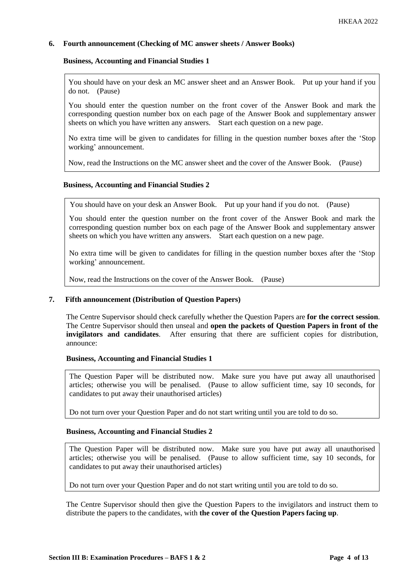# **6. Fourth announcement (Checking of MC answer sheets / Answer Books)**

## **Business, Accounting and Financial Studies 1**

You should have on your desk an MC answer sheet and an Answer Book. Put up your hand if you do not. (Pause)

You should enter the question number on the front cover of the Answer Book and mark the corresponding question number box on each page of the Answer Book and supplementary answer sheets on which you have written any answers. Start each question on a new page.

No extra time will be given to candidates for filling in the question number boxes after the 'Stop working' announcement.

Now, read the Instructions on the MC answer sheet and the cover of the Answer Book. (Pause)

## **Business, Accounting and Financial Studies 2**

You should have on your desk an Answer Book. Put up your hand if you do not. (Pause)

You should enter the question number on the front cover of the Answer Book and mark the corresponding question number box on each page of the Answer Book and supplementary answer sheets on which you have written any answers. Start each question on a new page.

No extra time will be given to candidates for filling in the question number boxes after the 'Stop working' announcement.

Now, read the Instructions on the cover of the Answer Book. (Pause)

## **7. Fifth announcement (Distribution of Question Papers)**

The Centre Supervisor should check carefully whether the Question Papers are **for the correct session**. The Centre Supervisor should then unseal and **open the packets of Question Papers in front of the invigilators and candidates**. After ensuring that there are sufficient copies for distribution, announce:

#### **Business, Accounting and Financial Studies 1**

The Question Paper will be distributed now. Make sure you have put away all unauthorised articles; otherwise you will be penalised. (Pause to allow sufficient time, say 10 seconds, for candidates to put away their unauthorised articles)

Do not turn over your Question Paper and do not start writing until you are told to do so.

# **Business, Accounting and Financial Studies 2**

The Question Paper will be distributed now. Make sure you have put away all unauthorised articles; otherwise you will be penalised. (Pause to allow sufficient time, say 10 seconds, for candidates to put away their unauthorised articles)

Do not turn over your Question Paper and do not start writing until you are told to do so.

The Centre Supervisor should then give the Question Papers to the invigilators and instruct them to distribute the papers to the candidates, with **the cover of the Question Papers facing up**.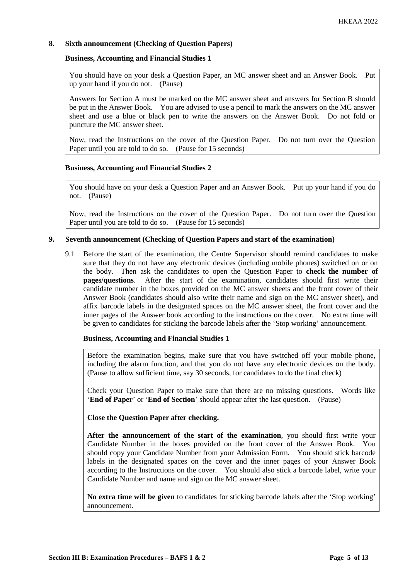# **8. Sixth announcement (Checking of Question Papers)**

# **Business, Accounting and Financial Studies 1**

You should have on your desk a Question Paper, an MC answer sheet and an Answer Book. Put up your hand if you do not. (Pause)

Answers for Section A must be marked on the MC answer sheet and answers for Section B should be put in the Answer Book. You are advised to use a pencil to mark the answers on the MC answer sheet and use a blue or black pen to write the answers on the Answer Book. Do not fold or puncture the MC answer sheet.

Now, read the Instructions on the cover of the Question Paper. Do not turn over the Question Paper until you are told to do so. (Pause for 15 seconds)

# **Business, Accounting and Financial Studies 2**

You should have on your desk a Question Paper and an Answer Book. Put up your hand if you do not. (Pause)

Now, read the Instructions on the cover of the Question Paper. Do not turn over the Question Paper until you are told to do so. (Pause for 15 seconds)

## **9. Seventh announcement (Checking of Question Papers and start of the examination)**

9.1 Before the start of the examination, the Centre Supervisor should remind candidates to make sure that they do not have any electronic devices (including mobile phones) switched on or on the body. Then ask the candidates to open the Question Paper to **check the number of pages/questions**. After the start of the examination, candidates should first write their candidate number in the boxes provided on the MC answer sheets and the front cover of their Answer Book (candidates should also write their name and sign on the MC answer sheet), and affix barcode labels in the designated spaces on the MC answer sheet, the front cover and the inner pages of the Answer book according to the instructions on the cover. No extra time will be given to candidates for sticking the barcode labels after the 'Stop working' announcement.

#### **Business, Accounting and Financial Studies 1**

Before the examination begins, make sure that you have switched off your mobile phone, including the alarm function, and that you do not have any electronic devices on the body. (Pause to allow sufficient time, say 30 seconds, for candidates to do the final check)

Check your Question Paper to make sure that there are no missing questions. Words like '**End of Paper**' or '**End of Section**' should appear after the last question. (Pause)

**Close the Question Paper after checking.**

**After the announcement of the start of the examination**, you should first write your Candidate Number in the boxes provided on the front cover of the Answer Book. You should copy your Candidate Number from your Admission Form. You should stick barcode labels in the designated spaces on the cover and the inner pages of your Answer Book according to the Instructions on the cover. You should also stick a barcode label, write your Candidate Number and name and sign on the MC answer sheet.

**No extra time will be given** to candidates for sticking barcode labels after the 'Stop working' announcement.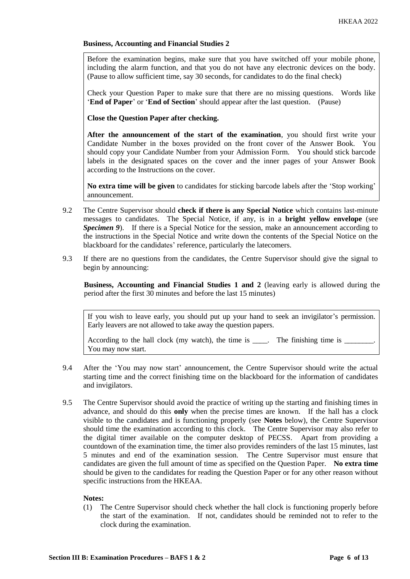Before the examination begins, make sure that you have switched off your mobile phone, including the alarm function, and that you do not have any electronic devices on the body. (Pause to allow sufficient time, say 30 seconds, for candidates to do the final check)

Check your Question Paper to make sure that there are no missing questions. Words like '**End of Paper**' or '**End of Section**' should appear after the last question. (Pause)

**Close the Question Paper after checking.**

**After the announcement of the start of the examination**, you should first write your Candidate Number in the boxes provided on the front cover of the Answer Book. You should copy your Candidate Number from your Admission Form. You should stick barcode labels in the designated spaces on the cover and the inner pages of your Answer Book according to the Instructions on the cover.

**No extra time will be given** to candidates for sticking barcode labels after the 'Stop working' announcement.

- 9.2 The Centre Supervisor should **check if there is any Special Notice** which contains last-minute messages to candidates. The Special Notice, if any, is in a **bright yellow envelope** (see *Specimen 9*). If there is a Special Notice for the session, make an announcement according to the instructions in the Special Notice and write down the contents of the Special Notice on the blackboard for the candidates' reference, particularly the latecomers.
- 9.3 If there are no questions from the candidates, the Centre Supervisor should give the signal to begin by announcing:

**Business, Accounting and Financial Studies 1 and 2** (leaving early is allowed during the period after the first 30 minutes and before the last 15 minutes)

If you wish to leave early, you should put up your hand to seek an invigilator's permission. Early leavers are not allowed to take away the question papers.

According to the hall clock (my watch), the time is  $\Box$ . The finishing time is  $\Box$ You may now start.

- 9.4 After the 'You may now start' announcement, the Centre Supervisor should write the actual starting time and the correct finishing time on the blackboard for the information of candidates and invigilators.
- 9.5 The Centre Supervisor should avoid the practice of writing up the starting and finishing times in advance, and should do this **only** when the precise times are known. If the hall has a clock visible to the candidates and is functioning properly (see **Notes** below), the Centre Supervisor should time the examination according to this clock. The Centre Supervisor may also refer to the digital timer available on the computer desktop of PECSS. Apart from providing a countdown of the examination time, the timer also provides reminders of the last 15 minutes, last 5 minutes and end of the examination session. The Centre Supervisor must ensure that candidates are given the full amount of time as specified on the Question Paper. **No extra time** should be given to the candidates for reading the Question Paper or for any other reason without specific instructions from the HKEAA.

# **Notes:**

(1) The Centre Supervisor should check whether the hall clock is functioning properly before the start of the examination. If not, candidates should be reminded not to refer to the clock during the examination.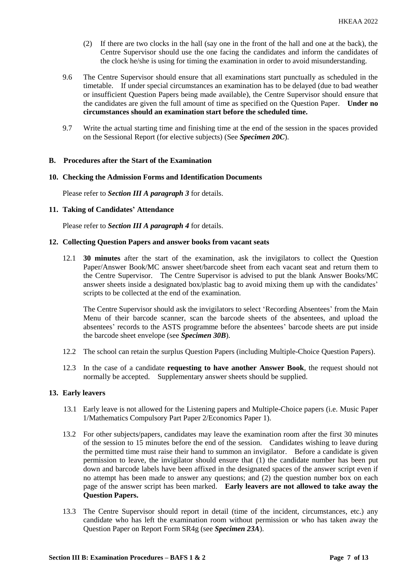- (2) If there are two clocks in the hall (say one in the front of the hall and one at the back), the Centre Supervisor should use the one facing the candidates and inform the candidates of the clock he/she is using for timing the examination in order to avoid misunderstanding.
- 9.6 The Centre Supervisor should ensure that all examinations start punctually as scheduled in the timetable. If under special circumstances an examination has to be delayed (due to bad weather or insufficient Question Papers being made available), the Centre Supervisor should ensure that the candidates are given the full amount of time as specified on the Question Paper. **Under no circumstances should an examination start before the scheduled time.**
- 9.7 Write the actual starting time and finishing time at the end of the session in the spaces provided on the Sessional Report (for elective subjects) (See *Specimen 20C*).

#### **B. Procedures after the Start of the Examination**

#### **10. Checking the Admission Forms and Identification Documents**

Please refer to *Section III A paragraph 3* for details.

#### **11. Taking of Candidates' Attendance**

Please refer to *Section III A paragraph 4* for details.

#### **12. Collecting Question Papers and answer books from vacant seats**

12.1 **30 minutes** after the start of the examination, ask the invigilators to collect the Question Paper/Answer Book/MC answer sheet/barcode sheet from each vacant seat and return them to the Centre Supervisor. The Centre Supervisor is advised to put the blank Answer Books/MC answer sheets inside a designated box/plastic bag to avoid mixing them up with the candidates' scripts to be collected at the end of the examination.

The Centre Supervisor should ask the invigilators to select 'Recording Absentees' from the Main Menu of their barcode scanner, scan the barcode sheets of the absentees, and upload the absentees' records to the ASTS programme before the absentees' barcode sheets are put inside the barcode sheet envelope (see *Specimen 30B*).

- 12.2 The school can retain the surplus Question Papers (including Multiple-Choice Question Papers).
- 12.3 In the case of a candidate **requesting to have another Answer Book**, the request should not normally be accepted. Supplementary answer sheets should be supplied.

#### **13. Early leavers**

- 13.1 Early leave is not allowed for the Listening papers and Multiple-Choice papers (i.e. Music Paper 1/Mathematics Compulsory Part Paper 2/Economics Paper 1).
- 13.2 For other subjects/papers, candidates may leave the examination room after the first 30 minutes of the session to 15 minutes before the end of the session. Candidates wishing to leave during the permitted time must raise their hand to summon an invigilator. Before a candidate is given permission to leave, the invigilator should ensure that (1) the candidate number has been put down and barcode labels have been affixed in the designated spaces of the answer script even if no attempt has been made to answer any questions; and (2) the question number box on each page of the answer script has been marked. **Early leavers are not allowed to take away the Question Papers.**
- 13.3 The Centre Supervisor should report in detail (time of the incident, circumstances, etc.) any candidate who has left the examination room without permission or who has taken away the Question Paper on Report Form SR4g (see *Specimen 23A*).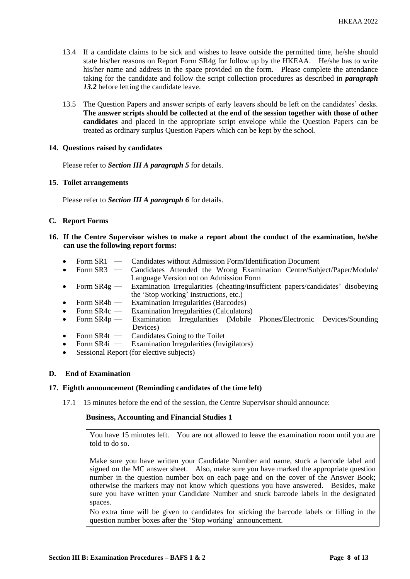- 13.4 If a candidate claims to be sick and wishes to leave outside the permitted time, he/she should state his/her reasons on Report Form SR4g for follow up by the HKEAA. He/she has to write his/her name and address in the space provided on the form. Please complete the attendance taking for the candidate and follow the script collection procedures as described in *paragraph 13.2* before letting the candidate leave.
- 13.5 The Question Papers and answer scripts of early leavers should be left on the candidates' desks. **The answer scripts should be collected at the end of the session together with those of other candidates** and placed in the appropriate script envelope while the Question Papers can be treated as ordinary surplus Question Papers which can be kept by the school.

## **14. Questions raised by candidates**

Please refer to *Section III A paragraph 5* for details.

## **15. Toilet arrangements**

Please refer to *Section III A paragraph 6* for details.

## **C. Report Forms**

- **16. If the Centre Supervisor wishes to make a report about the conduct of the examination, he/she can use the following report forms:**
	- Form SR1 Candidates without Admission Form/Identification Document
	- Form SR3 ― Candidates Attended the Wrong Examination Centre/Subject/Paper/Module/ Language Version not on Admission Form
	- Form SR4g Examination Irregularities (cheating/insufficient papers/candidates' disobeying the 'Stop working' instructions, etc.)
	- Form SR4b Examination Irregularities (Barcodes)
	- Form SR4c Examination Irregularities (Calculators)<br>Form SR4p Examination Irregularities (Mobile
	- Form SR4p Examination Irregularities (Mobile Phones/Electronic Devices/Sounding Devices)
	- Form  $SR4t$  Candidates Going to the Toilet<br>• Form  $SR4i$  Examination Irregularities (Invi
	- Examination Irregularities (Invigilators)
	- Sessional Report (for elective subjects)

## **D. End of Examination**

#### **17. Eighth announcement (Reminding candidates of the time left)**

17.1 15 minutes before the end of the session, the Centre Supervisor should announce:

# **Business, Accounting and Financial Studies 1**

You have 15 minutes left. You are not allowed to leave the examination room until you are told to do so.

Make sure you have written your Candidate Number and name, stuck a barcode label and signed on the MC answer sheet. Also, make sure you have marked the appropriate question number in the question number box on each page and on the cover of the Answer Book; otherwise the markers may not know which questions you have answered. Besides, make sure you have written your Candidate Number and stuck barcode labels in the designated spaces.

No extra time will be given to candidates for sticking the barcode labels or filling in the question number boxes after the 'Stop working' announcement.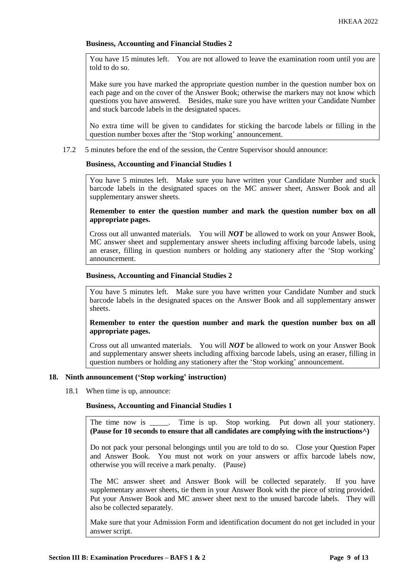You have 15 minutes left. You are not allowed to leave the examination room until you are told to do so.

Make sure you have marked the appropriate question number in the question number box on each page and on the cover of the Answer Book; otherwise the markers may not know which questions you have answered. Besides, make sure you have written your Candidate Number and stuck barcode labels in the designated spaces.

No extra time will be given to candidates for sticking the barcode labels or filling in the question number boxes after the 'Stop working' announcement.

17.2 5 minutes before the end of the session, the Centre Supervisor should announce:

## **Business, Accounting and Financial Studies 1**

You have 5 minutes left. Make sure you have written your Candidate Number and stuck barcode labels in the designated spaces on the MC answer sheet, Answer Book and all supplementary answer sheets.

# **Remember to enter the question number and mark the question number box on all appropriate pages.**

Cross out all unwanted materials. You will *NOT* be allowed to work on your Answer Book, MC answer sheet and supplementary answer sheets including affixing barcode labels, using an eraser, filling in question numbers or holding any stationery after the 'Stop working' announcement.

## **Business, Accounting and Financial Studies 2**

You have 5 minutes left. Make sure you have written your Candidate Number and stuck barcode labels in the designated spaces on the Answer Book and all supplementary answer sheets.

# **Remember to enter the question number and mark the question number box on all appropriate pages.**

Cross out all unwanted materials. You will *NOT* be allowed to work on your Answer Book and supplementary answer sheets including affixing barcode labels, using an eraser, filling in question numbers or holding any stationery after the 'Stop working' announcement.

# **18. Ninth announcement ('Stop working' instruction)**

18.1 When time is up, announce:

# **Business, Accounting and Financial Studies 1**

The time now is Time is up. Stop working. Put down all your stationery. **(Pause for 10 seconds to ensure that all candidates are complying with the instructions^)**

Do not pack your personal belongings until you are told to do so. Close your Question Paper and Answer Book. You must not work on your answers or affix barcode labels now, otherwise you will receive a mark penalty. (Pause)

The MC answer sheet and Answer Book will be collected separately. If you have supplementary answer sheets, tie them in your Answer Book with the piece of string provided. Put your Answer Book and MC answer sheet next to the unused barcode labels. They will also be collected separately.

Make sure that your Admission Form and identification document do not get included in your answer script.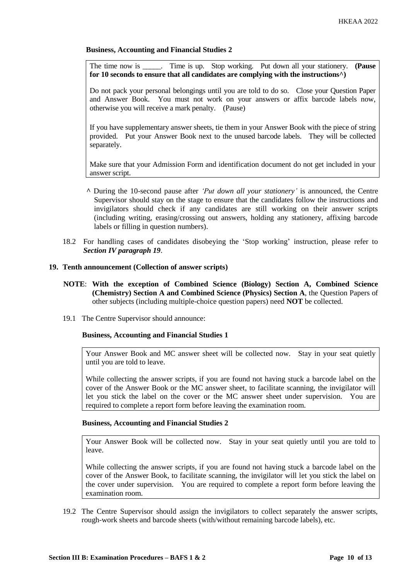The time now is \_\_\_\_\_. Time is up. Stop working. Put down all your stationery. **(Pause for 10 seconds to ensure that all candidates are complying with the instructions^)**

Do not pack your personal belongings until you are told to do so. Close your Question Paper and Answer Book. You must not work on your answers or affix barcode labels now, otherwise you will receive a mark penalty. (Pause)

If you have supplementary answer sheets, tie them in your Answer Book with the piece of string provided. Put your Answer Book next to the unused barcode labels. They will be collected separately.

Make sure that your Admission Form and identification document do not get included in your answer script.

- **^** During the 10-second pause after *'Put down all your stationery'* is announced, the Centre Supervisor should stay on the stage to ensure that the candidates follow the instructions and invigilators should check if any candidates are still working on their answer scripts (including writing, erasing/crossing out answers, holding any stationery, affixing barcode labels or filling in question numbers).
- 18.2 For handling cases of candidates disobeying the 'Stop working' instruction, please refer to *Section IV paragraph 19*.

# **19. Tenth announcement (Collection of answer scripts)**

- **NOTE**: **With the exception of Combined Science (Biology) Section A, Combined Science (Chemistry) Section A and Combined Science (Physics) Section A**, the Question Papers of other subjects (including multiple-choice question papers) need **NOT** be collected.
- 19.1 The Centre Supervisor should announce:

#### **Business, Accounting and Financial Studies 1**

Your Answer Book and MC answer sheet will be collected now. Stay in your seat quietly until you are told to leave.

While collecting the answer scripts, if you are found not having stuck a barcode label on the cover of the Answer Book or the MC answer sheet, to facilitate scanning, the invigilator will let you stick the label on the cover or the MC answer sheet under supervision. You are required to complete a report form before leaving the examination room.

#### **Business, Accounting and Financial Studies 2**

Your Answer Book will be collected now. Stay in your seat quietly until you are told to leave.

While collecting the answer scripts, if you are found not having stuck a barcode label on the cover of the Answer Book, to facilitate scanning, the invigilator will let you stick the label on the cover under supervision. You are required to complete a report form before leaving the examination room.

19.2 The Centre Supervisor should assign the invigilators to collect separately the answer scripts, rough-work sheets and barcode sheets (with/without remaining barcode labels), etc.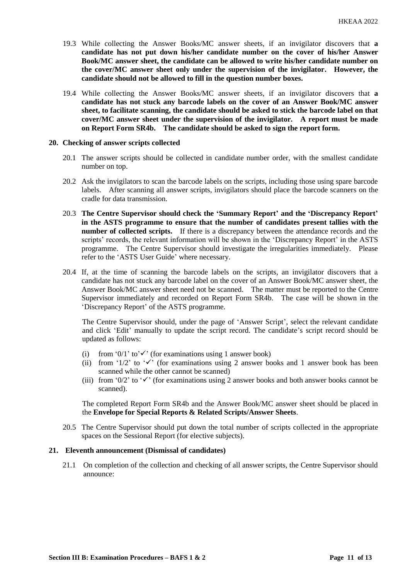- 19.3 While collecting the Answer Books/MC answer sheets, if an invigilator discovers that **a candidate has not put down his/her candidate number on the cover of his/her Answer Book/MC answer sheet, the candidate can be allowed to write his/her candidate number on the cover/MC answer sheet only under the supervision of the invigilator. However, the candidate should not be allowed to fill in the question number boxes.**
- 19.4 While collecting the Answer Books/MC answer sheets, if an invigilator discovers that **a candidate has not stuck any barcode labels on the cover of an Answer Book/MC answer sheet, to facilitate scanning, the candidate should be asked to stick the barcode label on that cover/MC answer sheet under the supervision of the invigilator. A report must be made on Report Form SR4b. The candidate should be asked to sign the report form.**

#### **20. Checking of answer scripts collected**

- 20.1 The answer scripts should be collected in candidate number order, with the smallest candidate number on top.
- 20.2 Ask the invigilators to scan the barcode labels on the scripts, including those using spare barcode labels. After scanning all answer scripts, invigilators should place the barcode scanners on the cradle for data transmission.
- 20.3 **The Centre Supervisor should check the 'Summary Report' and the 'Discrepancy Report' in the ASTS programme to ensure that the number of candidates present tallies with the number of collected scripts.** If there is a discrepancy between the attendance records and the scripts' records, the relevant information will be shown in the 'Discrepancy Report' in the ASTS programme. The Centre Supervisor should investigate the irregularities immediately. Please refer to the 'ASTS User Guide' where necessary.
- 20.4 If, at the time of scanning the barcode labels on the scripts, an invigilator discovers that a candidate has not stuck any barcode label on the cover of an Answer Book/MC answer sheet, the Answer Book/MC answer sheet need not be scanned. The matter must be reported to the Centre Supervisor immediately and recorded on Report Form SR4b. The case will be shown in the 'Discrepancy Report' of the ASTS programme.

The Centre Supervisor should, under the page of 'Answer Script', select the relevant candidate and click 'Edit' manually to update the script record. The candidate's script record should be updated as follows:

- (i) from '0/1' to' $\checkmark$ ' (for examinations using 1 answer book)
- (ii) from '1/2' to ' $\checkmark$ ' (for examinations using 2 answer books and 1 answer book has been scanned while the other cannot be scanned)
- (iii) from '0/2' to ' $\checkmark$ ' (for examinations using 2 answer books and both answer books cannot be scanned).

The completed Report Form SR4b and the Answer Book/MC answer sheet should be placed in the **Envelope for Special Reports & Related Scripts/Answer Sheets**.

20.5 The Centre Supervisor should put down the total number of scripts collected in the appropriate spaces on the Sessional Report (for elective subjects).

## **21. Eleventh announcement (Dismissal of candidates)**

21.1 On completion of the collection and checking of all answer scripts, the Centre Supervisor should announce: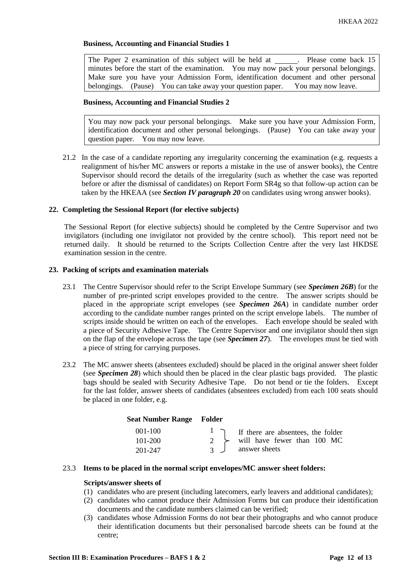The Paper 2 examination of this subject will be held at \_\_\_\_\_\_. Please come back 15 minutes before the start of the examination. You may now pack your personal belongings. Make sure you have your Admission Form, identification document and other personal belongings. (Pause) You can take away your question paper. You may now leave.

## **Business, Accounting and Financial Studies 2**

You may now pack your personal belongings. Make sure you have your Admission Form, identification document and other personal belongings. (Pause) You can take away your question paper. You may now leave.

21.2 In the case of a candidate reporting any irregularity concerning the examination (e.g. requests a realignment of his/her MC answers or reports a mistake in the use of answer books), the Centre Supervisor should record the details of the irregularity (such as whether the case was reported before or after the dismissal of candidates) on Report Form SR4g so that follow-up action can be taken by the HKEAA (see *Section IV paragraph 20* on candidates using wrong answer books).

## **22. Completing the Sessional Report (for elective subjects)**

The Sessional Report (for elective subjects) should be completed by the Centre Supervisor and two invigilators (including one invigilator not provided by the centre school). This report need not be returned daily. It should be returned to the Scripts Collection Centre after the very last HKDSE examination session in the centre.

## **23. Packing of scripts and examination materials**

- 23.1 The Centre Supervisor should refer to the Script Envelope Summary (see *Specimen 26B*) for the number of pre-printed script envelopes provided to the centre. The answer scripts should be placed in the appropriate script envelopes (see *Specimen 26A*) in candidate number order according to the candidate number ranges printed on the script envelope labels. The number of scripts inside should be written on each of the envelopes. Each envelope should be sealed with a piece of Security Adhesive Tape. The Centre Supervisor and one invigilator should then sign on the flap of the envelope across the tape (see *Specimen 27*). The envelopes must be tied with a piece of string for carrying purposes.
- 23.2 The MC answer sheets (absentees excluded) should be placed in the original answer sheet folder (see *Specimen 28*) which should then be placed in the clear plastic bags provided. The plastic bags should be sealed with Security Adhesive Tape. Do not bend or tie the folders. Except for the last folder, answer sheets of candidates (absentees excluded) from each 100 seats should be placed in one folder, e.g.

| <b>Seat Number Range Folder</b> |                                              |
|---------------------------------|----------------------------------------------|
| $001 - 100$                     | $\vert$ T if there are absentees, the folder |
| $101 - 200$                     | $2 \rightarrow$ will have fewer than 100 MC  |
| 201-247                         | answer sheets                                |

# 23.3 **Items to be placed in the normal script envelopes/MC answer sheet folders:**

# **Scripts/answer sheets of**

- (1) candidates who are present (including latecomers, early leavers and additional candidates);
- (2) candidates who cannot produce their Admission Forms but can produce their identification documents and the candidate numbers claimed can be verified;
- (3) candidates whose Admission Forms do not bear their photographs and who cannot produce their identification documents but their personalised barcode sheets can be found at the centre;